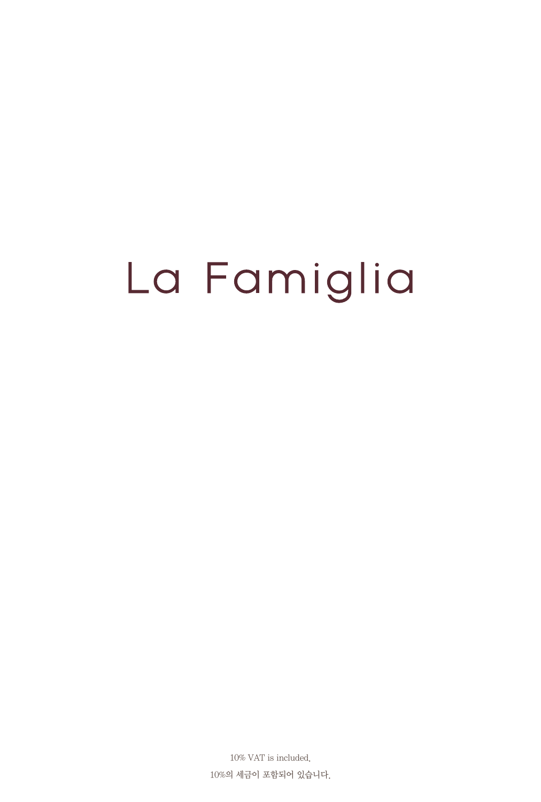# La Famiglia

10% VAT is included. 10%의 세금이 포함되어 있습니다.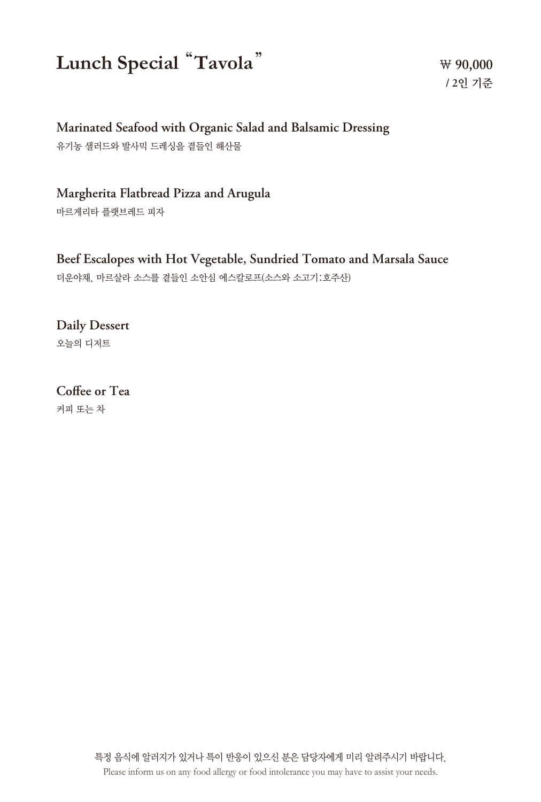# **Lunch Special** "**Tavola**"

**₩ 90,000 / 2**인 기준

#### **Marinated Seafood with Organic Salad and Balsamic Dressing**

유기농 샐러드와 발사믹 드레싱을 곁들인 해산물

#### **Margherita Flatbread Pizza and Arugula**

마르게리타 플랫브레드 피자

#### **Beef Escalopes with Hot Vegetable, Sundried Tomato and Marsala Sauce**

더운야채, 마르살라 소스를 곁들인 소안심 에스칼로프(소스와 소고기:호주산)

## **Daily Dessert**

오늘의 디저트

# **Coffee or Tea**

커피 또는 차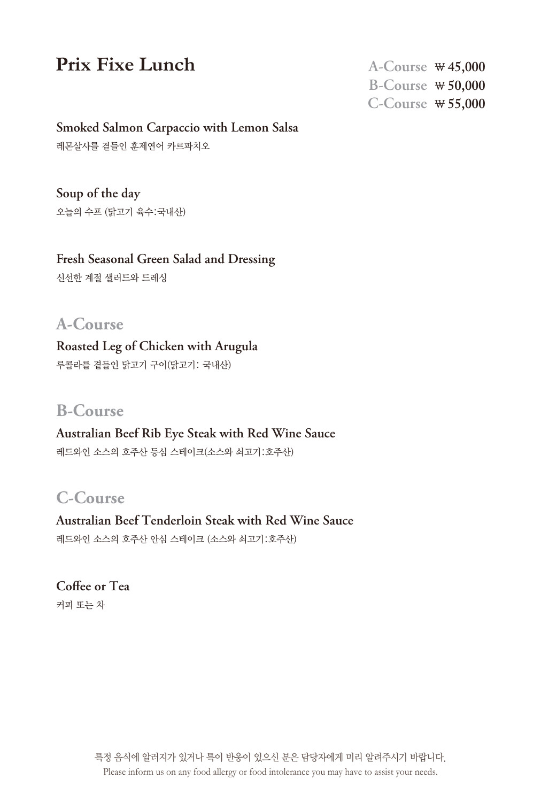## **Prix Fixe Lunch**

**A-Course ₩ 45,000 B-Course ₩ 50,000 C-Course ₩ 55,000**

#### **Smoked Salmon Carpaccio with Lemon Salsa**

레몬살사를 곁들인 훈제연어 카르파치오

**Soup of the day** 오늘의 수프 (닭고기 육수:국내산)

**Fresh Seasonal Green Salad and Dressing**

신선한 계절 샐러드와 드레싱

#### **A-Course**

**Roasted Leg of Chicken with Arugula** 루콜라를 곁들인 닭고기 구이(닭고기: 국내산)

#### **B-Course**

## **Australian Beef Rib Eye Steak with Red Wine Sauce**

레드와인 소스의 호주산 등심 스테이크(소스와 쇠고기:호주산)

#### **C-Course**

**Australian Beef Tenderloin Steak with Red Wine Sauce** 레드와인 소스의 호주산 안심 스테이크 (소스와 쇠고기:호주산)

**Coffee or Tea** 커피 또는 차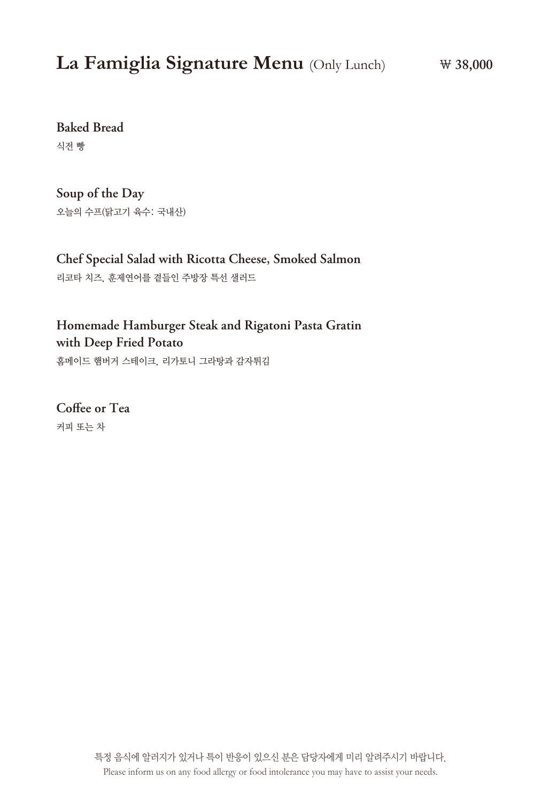## **La Famiglia Signature Menu** (Only Lunch)

**Baked Bread**

식전 빵

**Soup of the Day** 오늘의 수프(닭고기 육수: 국내산)

**Chef Special Salad with Ricotta Cheese, Smoked Salmon** 리코타 치즈, 훈제연어를 곁들인 주방장 특선 샐러드

**Homemade Hamburger Steak and Rigatoni Pasta Gratin with Deep Fried Potato**  홈메이드 햄버거 스테이크, 리가토니 그라탕과 감자튀김

**Coffee or Tea** 커피 또는 차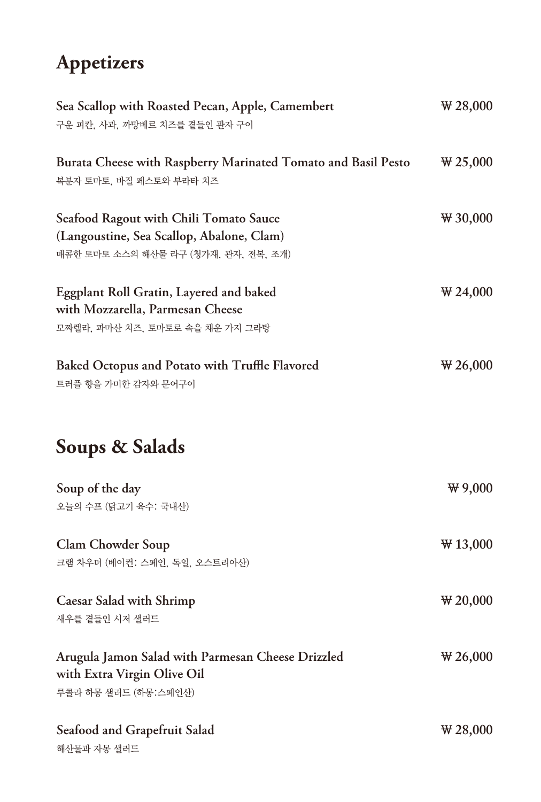# **Appetizers**

| Sea Scallop with Roasted Pecan, Apple, Camembert<br>구운 피칸, 사과, 까망베르 치즈를 곁들인 관자 구이                                           | $\sqrt{28,000}$  |
|-----------------------------------------------------------------------------------------------------------------------------|------------------|
| Burata Cheese with Raspberry Marinated Tomato and Basil Pesto<br>복분자 토마토, 바질 페스토와 부라타 치즈                                    | $\sqrt{425,000}$ |
| Seafood Ragout with Chili Tomato Sauce<br>(Langoustine, Sea Scallop, Abalone, Clam)<br>매콤한 토마토 소스의 해산물 라구 (청가재, 관자, 전복, 조개) | $\Psi$ 30,000    |
| <b>Eggplant Roll Gratin, Layered and baked</b><br>with Mozzarella, Parmesan Cheese<br>모짜렐라, 파마산 치즈, 토마토로 속을 채운 가지 그라탕       | $\forall 24,000$ |
| Baked Octopus and Potato with Truffle Flavored<br>트러플 향을 가미한 감자와 문어구이                                                       | $\sqrt{26,000}$  |
| Soups & Salads                                                                                                              |                  |
| Soup of the day<br>오늘의 수프 (닭고기 육수: 국내산)                                                                                     | $\Psi$ 9,000     |
| <b>Clam Chowder Soup</b><br>크램 차우더 (베이컨: 스페인, 독일, 오스트리아산)                                                                   | $\Psi$ 13,000    |
| <b>Caesar Salad with Shrimp</b><br>새우를 곁들인 시저 샐러드                                                                           | $\sqrt{20,000}$  |
| Arugula Jamon Salad with Parmesan Cheese Drizzled<br>with Extra Virgin Olive Oil<br>루콜라 하몽 샐러드 (하몽:스페인산)                    | $\sqrt{26,000}$  |
| <b>Seafood and Grapefruit Salad</b><br>해산물과 자몽 샐러드                                                                          | $\sqrt{28,000}$  |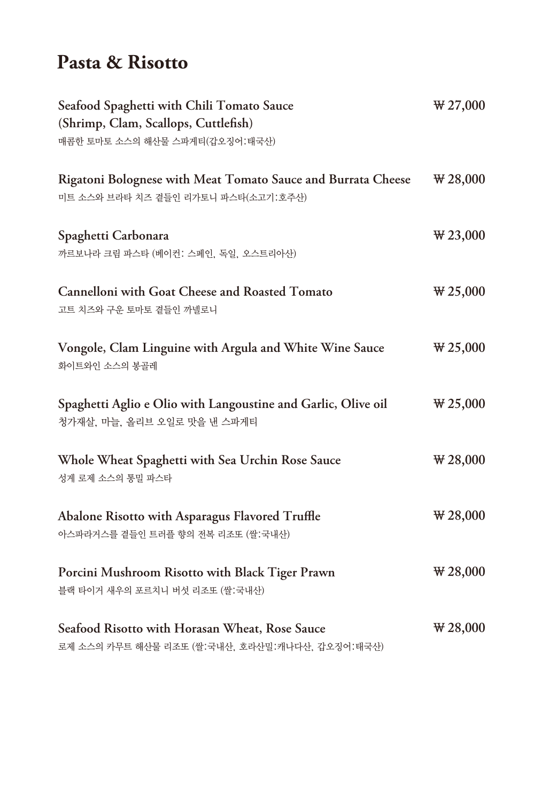## **Pasta & Risotto**

| Seafood Spaghetti with Chili Tomato Sauce<br>(Shrimp, Clam, Scallops, Cuttlefish)                   | $\sqrt{27,000}$   |
|-----------------------------------------------------------------------------------------------------|-------------------|
| 매콤한 토마토 소스의 해산물 스파게티(갑오징어:태국산)                                                                      |                   |
| Rigatoni Bolognese with Meat Tomato Sauce and Burrata Cheese<br>미트 소스와 브라타 치즈 곁들인 리가토니 파스타(소고기:호주산) | $\sqrt{28,000}$   |
| Spaghetti Carbonara<br>까르보나라 크림 파스타 (베이컨: 스페인, 독일, 오스트리아산)                                          | $\Psi$ 23,000     |
| <b>Cannelloni with Goat Cheese and Roasted Tomato</b><br>고트 치즈와 구운 토마토 곁들인 까넬로니                     | $\sqrt{425,000}$  |
| Vongole, Clam Linguine with Argula and White Wine Sauce<br>화이트와인 소스의 봉골레                            | $\sqrt{25,000}$   |
| Spaghetti Aglio e Olio with Langoustine and Garlic, Olive oil<br>청가재살, 마늘, 올리브 오일로 맛을 낸 스파게티        | $\sqrt{425,000}$  |
| Whole Wheat Spaghetti with Sea Urchin Rose Sauce<br>성게 로제 소스의 통밀 파스타                                | $\sqrt{4}$ 28,000 |
| Abalone Risotto with Asparagus Flavored Truffle<br>아스파라거스를 곁들인 트러플 향의 전복 리조또 (쌀:국내산)                | $\sqrt{4}$ 28,000 |
| Porcini Mushroom Risotto with Black Tiger Prawn<br>블랙 타이거 새우의 포르치니 버섯 리조또 (쌀:국내산)                   | $\sqrt{4}$ 28,000 |
| Seafood Risotto with Horasan Wheat, Rose Sauce<br>로제 소스의 카무트 해산물 리조또 (쌀:국내산, 호라산밀:캐나다산, 갑오징어:태국산)   | $\sqrt{4}$ 28,000 |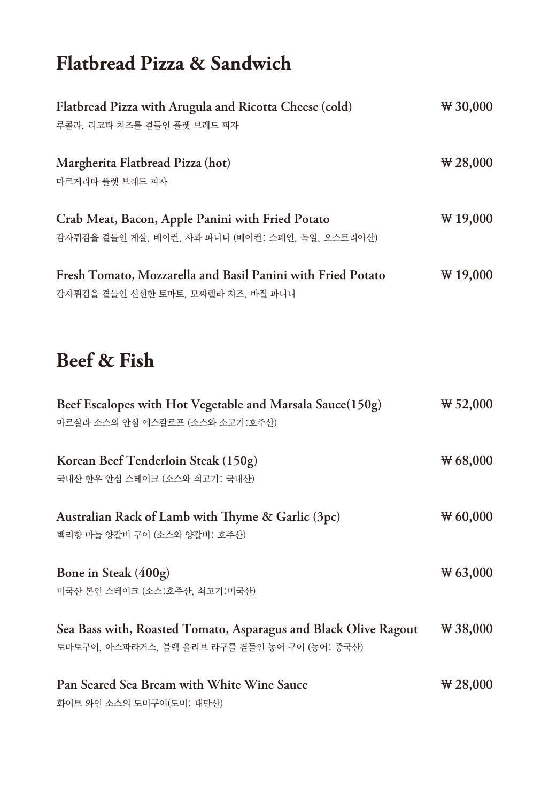# **Flatbread Pizza & Sandwich**

| Flatbread Pizza with Arugula and Ricotta Cheese (cold)      | $\sqrt{4}$ 30,000 |
|-------------------------------------------------------------|-------------------|
| 루콜라, 리코타 치즈를 곁들인 플렛 브레드 피자                                  |                   |
| Margherita Flatbread Pizza (hot)                            | $\sqrt{4}$ 28,000 |
| 마르게리타 플렛 브레드 피자                                             |                   |
| Crab Meat, Bacon, Apple Panini with Fried Potato            | $\Psi$ 19,000     |
| 감자튀김을 곁들인 게살, 베이컨, 사과 파니니 (베이컨: 스페인, 독일, 오스트리아산)            |                   |
| Fresh Tomato, Mozzarella and Basil Panini with Fried Potato | $\Psi$ 19,000     |
| 감자튀김을 곁들인 신선한 토마토, 모짜렐라 치즈, 바질 파니니                          |                   |

# **Beef & Fish**

| Beef Escalopes with Hot Vegetable and Marsala Sauce(150g)<br>마르살라 소스의 안심 에스칼로프 (소스와 소고기:호주산)                     | $\Psi$ 52,000   |
|------------------------------------------------------------------------------------------------------------------|-----------------|
| Korean Beef Tenderloin Steak (150g)<br>국내산 한우 안심 스테이크 (소스와 쇠고기: 국내산)                                             | $\Psi$ 68,000   |
| Australian Rack of Lamb with Thyme $\&$ Garlic (3pc)<br>백리향 마늘 양갈비 구이 (소스와 양갈비: 호주산)                             | $\Psi$ 60,000   |
| Bone in Steak (400g)<br>미국산 본인 스테이크 (소스:호주산, 쇠고기:미국산)                                                            | $\Psi$ 63,000   |
| Sea Bass with, Roasted Tomato, Asparagus and Black Olive Ragout<br>토마토구이, 아스파라거스, 블랙 올리브 라구를 곁들인 농어 구이 (농어: 중국산) | $\Psi$ 38,000   |
| Pan Seared Sea Bream with White Wine Sauce<br>화이트 와인 소스의 도미구이(도미: 대만산)                                           | $\sqrt{28,000}$ |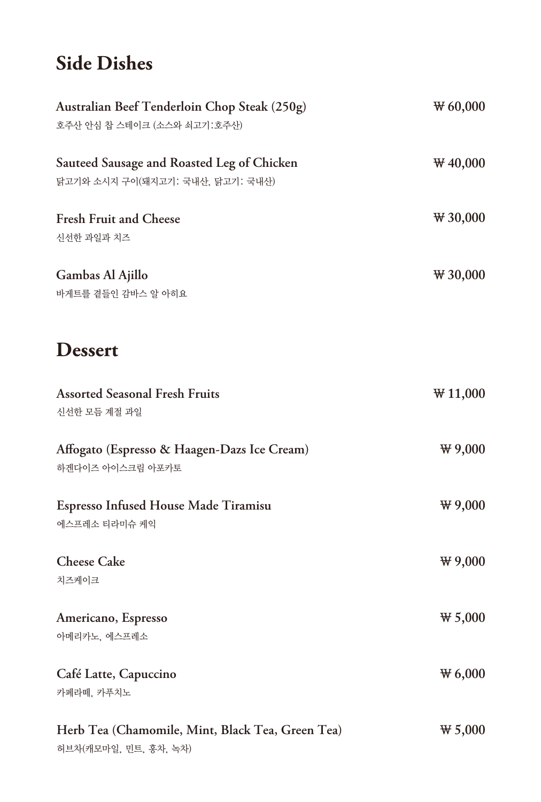# **Side Dishes**

| Australian Beef Tenderloin Chop Steak (250g)<br>호주산 안심 찹 스테이크 (소스와 쇠고기:호주산)    | $\Psi$ 60,000     |
|--------------------------------------------------------------------------------|-------------------|
| Sauteed Sausage and Roasted Leg of Chicken<br>닭고기와 소시지 구이(돼지고기: 국내산, 닭고기: 국내산) | $\Psi$ 40,000     |
| <b>Fresh Fruit and Cheese</b><br>신선한 과일과 치즈                                    | $\sqrt{4}$ 30,000 |
| Gambas Al Ajillo<br>바게트를 곁들인 감바스 알 아히요                                         | $\Psi$ 30,000     |
| <b>Dessert</b>                                                                 |                   |
| <b>Assorted Seasonal Fresh Fruits</b><br>신선한 모듬 계절 과일                          | $\Psi$ 11,000     |
| Affogato (Espresso & Haagen-Dazs Ice Cream)<br>하겐다이즈 아이스크림 아포카토                | $\Psi$ 9,000      |
| Espresso Infused House Made Tiramisu<br>에스프레소 티라미슈 케익                          | $\Psi$ 9,000      |
| <b>Cheese Cake</b><br>치즈케이크                                                    | $\Psi$ 9,000      |
| Americano, Espresso<br>아메리카노, 에스프레소                                            | $\Psi$ 5,000      |
| Café Latte, Capuccino<br>카페라떼, 카푸치노                                            | $\Psi$ 6,000      |
| Herb Tea (Chamomile, Mint, Black Tea, Green Tea)<br>허브차(캐모마일, 민트, 홍차, 녹차)      | $\Psi$ 5,000      |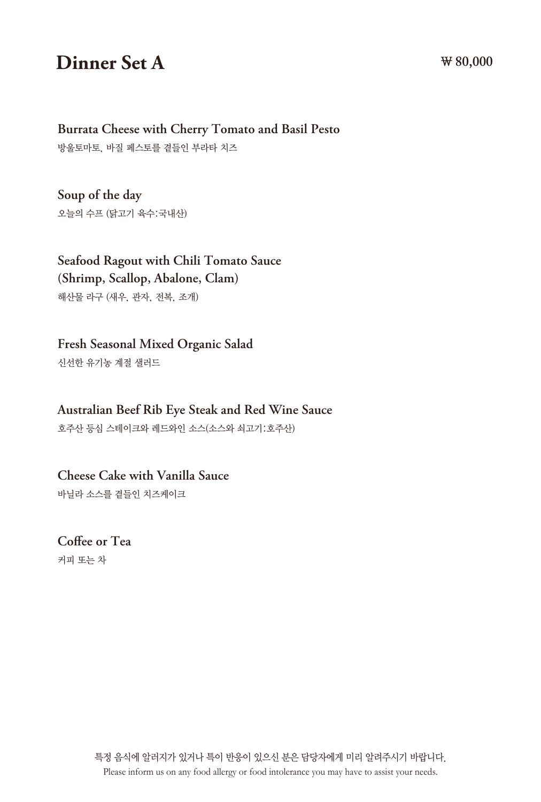## **Dinner Set A**  $W80,000$

#### **Burrata Cheese with Cherry Tomato and Basil Pesto**

방울토마토, 바질 페스토를 곁들인 부라타 치즈

**Soup of the day** 오늘의 수프 (닭고기 육수:국내산)

**Seafood Ragout with Chili Tomato Sauce (Shrimp, Scallop, Abalone, Clam)** 해산물 라구 (새우, 관자, 전복, 조개)

**Fresh Seasonal Mixed Organic Salad** 

신선한 유기농 계절 샐러드

**Australian Beef Rib Eye Steak and Red Wine Sauce**  호주산 등심 스테이크와 레드와인 소스(소스와 쇠고기:호주산)

**Cheese Cake with Vanilla Sauce**

바닐라 소스를 곁들인 치즈케이크

**Coffee or Tea** 커피 또는 차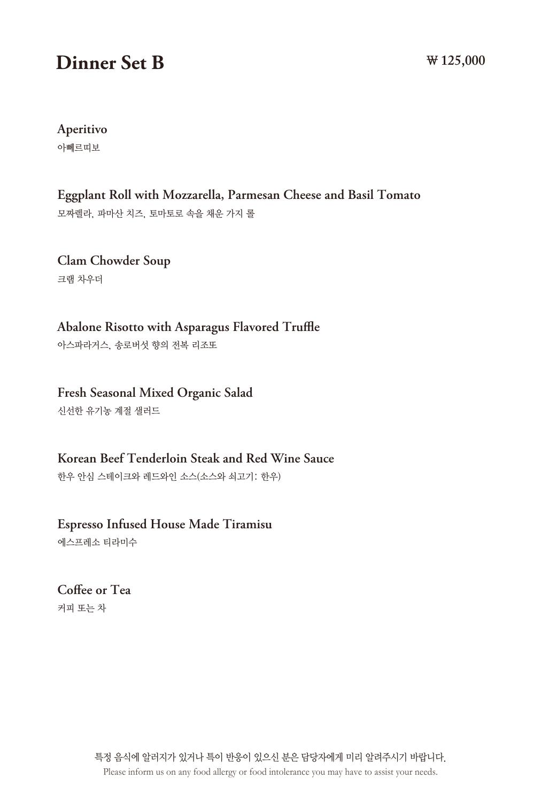## **Dinner Set B ₩ 125,000**

**Aperitivo**

아뻬르띠보

**Eggplant Roll with Mozzarella, Parmesan Cheese and Basil Tomato** 모짜렐라, 파마산 치즈, 토마토로 속을 채운 가지 롤

**Clam Chowder Soup** 크램 차우더

**Abalone Risotto with Asparagus Flavored Truffle** 아스파라거스, 송로버섯 향의 전복 리조또

**Fresh Seasonal Mixed Organic Salad** 신선한 유기농 계절 샐러드

**Korean Beef Tenderloin Steak and Red Wine Sauce**  한우 안심 스테이크와 레드와인 소스(소스와 쇠고기: 한우)

**Espresso Infused House Made Tiramisu**

에스프레소 티라미수

**Coffee or Tea** 커피 또는 차